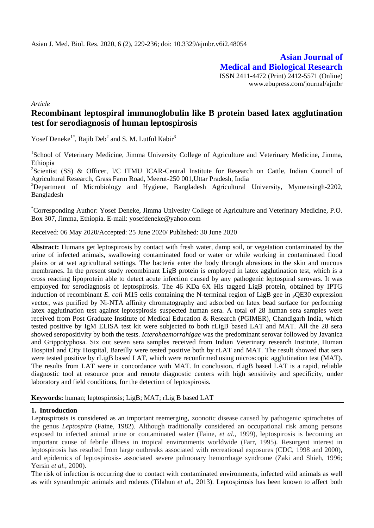**Asian Journal of Medical and Biological Research** ISSN 2411-4472 (Print) 2412-5571 (Online) www.ebupress.com/journal/ajmbr

*Article*

# **Recombinant leptospiral immunoglobulin like B protein based latex agglutination test for serodiagnosis of human leptospirosis**

Yosef Deneke<sup>1\*</sup>, Rajib Deb<sup>2</sup> and S. M. Lutful Kabir<sup>3</sup>

<sup>1</sup>School of Veterinary Medicine, Jimma University College of Agriculture and Veterinary Medicine, Jimma, Ethiopia

<sup>2</sup>Scientist (SS) & Officer, I/C ITMU ICAR-Central Institute for Research on Cattle, Indian Council of Agricultural Research, Grass Farm Road, Meerut-250 001,Uttar Pradesh, India

<sup>3</sup>Department of Microbiology and Hygiene, Bangladesh Agricultural University, Mymensingh-2202, Bangladesh

\*Corresponding Author: Yosef Deneke, Jimma Univesity College of Agriculture and Veterinary Medicine, P.O. Box 307, Jimma, Ethiopia. E-mail: yosefdeneke@yahoo.com

Received: 06 May 2020/Accepted: 25 June 2020/ Published: 30 June 2020

**Abstract:** Humans get leptospirosis by contact with fresh water, damp soil, or vegetation contaminated by the urine of infected animals, swallowing contaminated food or water or while working in contaminated flood plains or at wet agricultural settings. The bacteria enter the body through abrasions in the skin and mucous membranes. In the present study recombinant LigB protein is employed in latex agglutination test, which is a cross reacting lipoprotein able to detect acute infection caused by any pathogenic leptospiral serovars. It was employed for serodiagnosis of leptospirosis. The 46 KDa 6X His tagged LigB protein, obtained by IPTG induction of recombinant *E. coli* M15 cells containing the N-terminal region of LigB gee in  $_{\rm P}$ QE30 expression vector, was purified by Ni-NTA affinity chromatography and adsorbed on latex bead surface for performing latex agglutination test against leptospirosis suspected human sera. A total of 28 human sera samples were received from Post Graduate Institute of Medical Education & Research (PGIMER), Chandigarh India, which tested positive by IgM ELISA test kit were subjected to both rLigB based LAT and MAT. All the 28 sera showed seropositivity by both the tests. *Icterohaemorrahigae* was the predominant serovar followed by Javanica and Grippotyphosa. Six out seven sera samples received from Indian Veterinary research Institute, Human Hospital and City Hospital, Bareilly were tested positive both by rLAT and MAT. The result showed that sera were tested positive by rLigB based LAT, which were reconfirmed using microscopic agglutination test (MAT). The results from LAT were in concordance with MAT. In conclusion, rLigB based LAT is a rapid, reliable diagnostic tool at resource poor and remote diagnostic centers with high sensitivity and specificity, under laboratory and field conditions, for the detection of leptospirosis.

# **Keywords:** human; leptospirosis; LigB; MAT; rLig B based LAT

# **1. Introduction**

Leptospirosis is considered as an important reemerging, zoonotic disease caused by pathogenic spirochetes of the genus *Leptospira* (Faine, 1982). Although traditionally considered an occupational risk among persons exposed to infected animal urine or contaminated water (Faine, *et al.,* 1999), leptospirosis is becoming an important cause of febrile illness in tropical environments worldwide (Farr, 1995). Resurgent interest in leptospirosis has resulted from large outbreaks associated with recreational exposures (CDC, 1998 and 2000), and epidemics of leptospirosis- associated severe pulmonary hemorrhage syndrome (Zaki and Shieh, 1996; Yersin *et al.,* 2000).

The risk of infection is occurring due to contact with contaminated environments, infected wild animals as well as with synanthropic animals and rodents (Tilahun *et al*., 2013). Leptospirosis has been known to affect both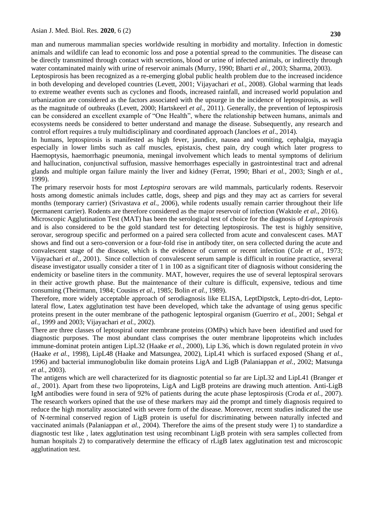man and numerous mammalian species worldwide resulting in morbidity and mortality. Infection in domestic animals and wildlife can lead to economic loss and pose a potential spread to the communities. The disease can be directly transmitted through contact with secretions, blood or urine of infected animals, or indirectly through water contaminated mainly with urine of reservoir animals (Murry, 1990; Bharti *et al.*, 2003; Sharma, 2003).

Leptospirosis has been recognized as a re-emerging global public health problem due to the increased incidence in both developing and developed countries (Levett, 2001; Vijayachari *et al.,* 2008). Global warming that leads to extreme weather events such as cyclones and floods, increased rainfall, and increased world population and urbanization are considered as the factors associated with the upsurge in the incidence of leptospirosis, as well as the magnitude of outbreaks (Levett, 2000; Hartskeerl *et al.,* 2011). Generally, the prevention of leptospirosis can be considered an excellent example of "One Health", where the relationship between humans, animals and ecosystems needs be considered to better understand and manage the disease. Subsequently, any research and control effort requires a truly multidisciplinary and coordinated approach (Jancloes *et al*., 2014).

In humans, leptospirosis is manifested as high fever, jaundice, nausea and vomiting, cephalgia, mayagia especially in lower limbs such as calf muscles, epistaxis, chest pain, dry cough which later progress to Haemoptysis, haemorrhagic pneumonia, meningal involvement which leads to mental symptoms of delirium and hallucination, conjunctival suffusion, massive hemorrhages especially in gastrointestinal tract and adrenal glands and multiple organ failure mainly the liver and kidney (Ferrat, 1990; Bhari *et al.,* 2003; Singh *et al.,* 1999).

The primary reservoir hosts for most *Leptospira* serovars are wild mammals, particularly rodents. Reservoir hosts among domestic animals includes cattle, dogs, sheep and pigs and they may act as carriers for several months (temporary carrier) (Srivastava *et al.,* 2006), while rodents usually remain carrier throughout their life (permanent carrier). Rodents are therefore considered as the major reservoir of infection (Waktole *et al*., 2016).

Microscopic Agglutination Test (MAT) has been the serological test of choice for the diagnosis of *Leptospirosis*  and is also considered to be the gold standard test for detecting leptospirosis. The test is highly sensitive, serovar, serogroup specific and performed on a paired sera collected from acute and convalescent cases. MAT shows and find out a sero-conversion or a four-fold rise in antibody titer, on sera collected during the acute and convalescent stage of the disease, which is the evidence of current or recent infection (Cole *et al.,* 1973; Vijayachari *et al.,* 2001). Since collection of convalescent serum sample is difficult in routine practice, several disease investigator usually consider a titer of 1 in 100 as a significant titer of diagnosis without considering the endemicity or baseline titers in the community. MAT, however, requires the use of several leptospiral serovars in their active growth phase. But the maintenance of their culture is difficult, expensive, tedious and time consuming (Theirmann, 1984; Cousins *et al.,* 1985; Bolin *et al.,* 1989).

Therefore, more widely acceptable approach of serodiagnosis like ELISA, LeptDipstck, Lepto-dri-dot, Leptolateral flow, Latex agglutination test have been developed, which take the advantage of using genus specific proteins present in the outer membrane of the pathogenic leptospiral organism (Guerriro *et al.,* 2001; Sehgal *et al.,* 1999 and 2003; Vijayachari *et al.,* 2002).

There are three classes of leptospiral outer membrane proteins (OMPs) which have been identified and used for diagnostic purposes. The most abundant class comprises the outer membrane lipoproteins which includes immune-dominat protein antigen LipL32 (Haake *et al.,* 2000), Lip L36, which is down regulated protein *in vivo*  (Haake *et al.,* 1998), LipL48 (Haake and Matsungea, 2002), LipL41 which is surfaced exposed (Shang *et al.,*  1996) and bacterial immunoglobulin like domain proteins LigA and LigB (Palaniappan *et al.,* 2002; Matsunga *et al.,* 2003).

The antigens which are well characterized for its diagnostic potential so far are LipL32 and LipL41 (Branger *et al.,* 2001). Apart from these two lipoproteins, LigA and LigB proteins are drawing much attention. Anti-LigB IgM antibodies were found in sera of 92% of patients during the acute phase leptospirosis (Croda *et al.,* 2007). The research workers opined that the use of these markers may aid the prompt and timely diagnosis required to reduce the high mortality associated with severe form of the disease. Moreover, recent studies indicated the use of N-terminal conserved region of LigB protein is useful for discriminating between naturally infected and vaccinated animals (Palaniappan *et al.,* 2004). Therefore the aims of the present study were 1) to standardize a diagnostic test like , latex agglutination test using recombinant LigB protein with sera samples collected from human hospitals 2) to comparatively determine the efficacy of rLigB latex agglutination test and microscopic agglutination test.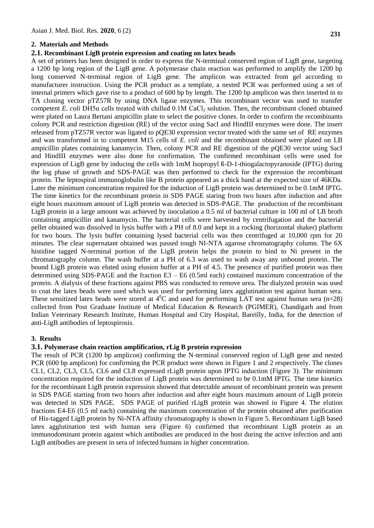### **2. Materials and Methods**

### **2.1. Recombinant LigB protein expression and coating on latex beads**

A set of primers has been designed in order to express the N-terminal conserved region of LigB gene, targeting a 1200 bp long region of the LigB gene. A polymerase chain reaction was performed to amplify the 1200 bp long conserved N-terminal region of LigB gene. The amplicon was extracted from gel according to manufacturer instruction. Using the PCR product as a template, a nested PCR was performed using a set of internal primers which gave rise to a product of 600 bp by length. The 1200 bp amplicon was then inserted in to TA cloning vector pTZ57R by using DNA ligase enzymes. This recombinant vector was used to transfer competent *E. coli* DH5α cells treated with chilled 0.1M CaCl<sub>2</sub> solution. Then, the recombinant cloned obtained were plated on Laura Bertani ampicillin plate to select the positive clones. In order to confirm the recombinants colony PCR and restriction digestion (RE) of the vector using SacI and HindIII enzymes were done. The insert released from pTZ57R vector was ligated to pQE30 expression vector treated with the same set of RE enzymes and was transformed in to competent M15 cells of *E. coli* and the recombinant obtained were plated on LB ampicillin plates containing kanamycin. Then, colony PCR and RE digestion of the pQE30 vector using SacI and HindIII enzymes were also done for confirmation. The confirmed recombinant cells were used for expression of LigB gene by inducing the cells with 1mM Isopropyl ß-D-1-thiogalactopyranoside (IPTG) during the log phase of growth and SDS-PAGE was then performed to check for the expression the recombinant protein. The leptospiral immunoglobulin like B protein appeared as a thick band at the expected size of 46KDa. Later the minimum concentration required for the induction of LigB protein was determined to be 0.1mM IPTG. The time kinetics for the recombinant protein in SDS PAGE staring from two hours after induction and after eight hours maximum amount of LigB protein was detected in SDS-PAGE. The production of the recombinant LigB protein in a large amount was achieved by inoculation a 0.5 ml of bacterial culture in 100 ml of LB broth containing ampicillin and kanamycin. The bacterial cells were harvested by centrifugation and the bacterial pellet obtained was dissolved in lysis buffer with a PH of 8.0 and kept in a rocking (horizontal shaker) platform for two hours. The lysis buffer containing lysed bacterial cells was then centrifuged at 10,000 rpm for 20 minutes. The clear supernatant obtained was passed tough NI-NTA agarose chromatography column. The 6X histidine tagged N-terminal portion of the LigB protein helps the protein to bind to Ni present in the chromatography column. The wash buffer at a PH of 6.3 was used to wash away any unbound protein. The bound LigB protein was eluted using elusion buffer at a PH of 4.5. The presence of purified protein was then determined using SDS-PAGE and the fraction E3 – E6 (0.5ml each) contained maximum concentration of the protein. A dialysis of these fractions against PBS was conducted to remove urea. The dialyzed protein was used to coat the latex beads were used which was used for performing latex agglutination test against human sera. These sensitized latex beads were stored at  $4^0C$  and used for performing LAT test against human sera (n=28) collected from Post Graduate Institute of Medical Education & Research (PGIMER), Chandigarh and from Indian Veterinary Research Institute, Human Hospital and City Hospital, Bareilly, India, for the detection of anti-LigB antibodies of leptospirosis.

#### **3. Results**

# **3.1. Polymerase chain reaction amplification, rLig B protein expression**

The result of PCR (1200 bp amplicon) confirming the N-terminal conserved region of LigB gene and nested PCR (600 bp amplicon) for confirming the PCR product were shown in Figure 1 and 2 respectively. The clones CL1, CL2, CL3, CL5, CL6 and CL8 expressed rLigB protein upon IPTG induction (Figure 3). The minimum concentration required for the induction of LigB protein was determined to be 0.1mM IPTG. The time kinetics for the recombinant LigB protein expression showed that detectable amount of recombinant protein was present in SDS PAGE starting from two hours after induction and after eight hours maximum amount of LigB protein was detected in SDS PAGE. SDS PAGE of purified rLigB protein was showed in Figure 4. The elution fractions E4-E6 (0.5 ml each) containing the maximum concentration of the protein obtained after purification of His-tagged LigB protein by Ni-NTA affinity chromatography is shown in Figure 5. Recombinant LigB based latex agglutination test with human sera (Figure 6) confirmed that recombinant LigB protein as an immunodominant protein against which antibodies are produced in the host during the active infection and anti LigB antibodies are present in sera of infected humans in higher concentration.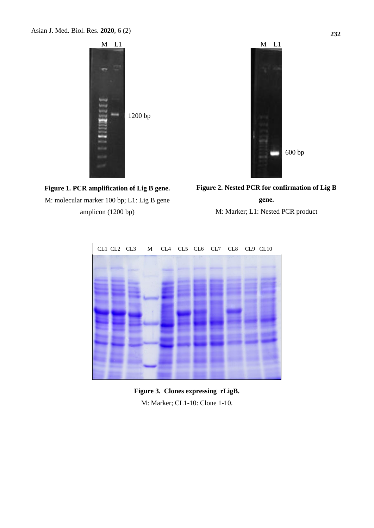

**Figure 1. PCR amplification of Lig B gene.** M: molecular marker 100 bp; L1: Lig B gene amplicon (1200 bp)



**Figure 2. Nested PCR for confirmation of Lig B** 

**gene.**

M: Marker; L1: Nested PCR product



**Figure 3. Clones expressing rLigB.** M: Marker; CL1-10: Clone 1-10.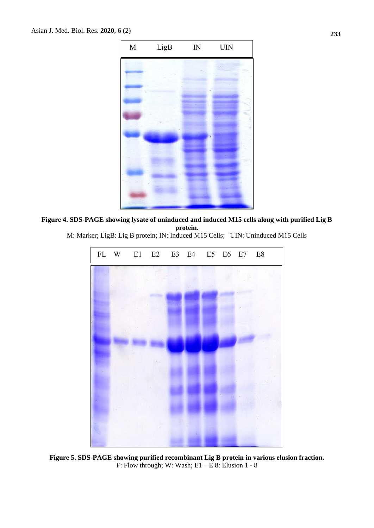

**Figure 4. SDS-PAGE showing lysate of uninduced and induced M15 cells along with purified Lig B protein.**



M: Marker; LigB: Lig B protein; IN: Induced M15 Cells; UIN: Uninduced M15 Cells

**Figure 5. SDS-PAGE showing purified recombinant Lig B protein in various elusion fraction.** F: Flow through; W: Wash;  $E1 - E8$ : Elusion 1 - 8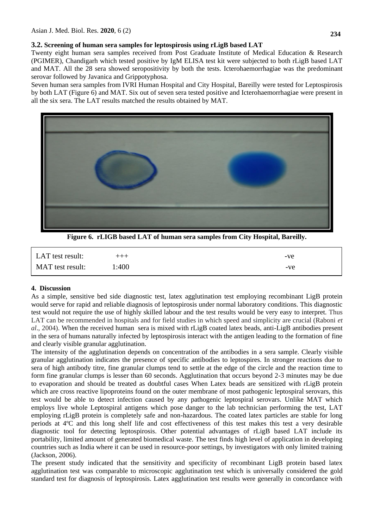# **3.2. Screening of human sera samples for leptospirosis using rLigB based LAT**

Twenty eight human sera samples received from Post Graduate Institute of Medical Education & Research (PGIMER), Chandigarh which tested positive by IgM ELISA test kit were subjected to both rLigB based LAT and MAT. All the 28 sera showed seropositivity by both the tests. Icterohaemorrhagiae was the predominant serovar followed by Javanica and Grippotyphosa.

Seven human sera samples from IVRI Human Hospital and City Hospital, Bareilly were tested for Leptospirosis by both LAT (Figure 6) and MAT. Six out of seven sera tested positive and Icterohaemorrhagiae were present in all the six sera. The LAT results matched the results obtained by MAT.



**Figure 6. rLIGB based LAT of human sera samples from City Hospital, Bareilly.**

| LAT test result: | $+ + +$ | -ve |
|------------------|---------|-----|
| MAT test result: | 1:400   | -ve |

# **4. Discussion**

As a simple, sensitive bed side diagnostic test, latex agglutination test employing recombinant LigB protein would serve for rapid and reliable diagnosis of leptospirosis under normal laboratory conditions. This diagnostic test would not require the use of highly skilled labour and the test results would be very easy to interpret. Thus LAT can be recommended in hospitals and for field studies in which speed and simplicity are crucial (Raboni *et al*., 2004). When the received human sera is mixed with rLigB coated latex beads, anti-LigB antibodies present in the sera of humans naturally infected by leptospirosis interact with the antigen leading to the formation of fine and clearly visible granular agglutination.

The intensity of the agglutination depends on concentration of the antibodies in a sera sample. Clearly visible granular agglutination indicates the presence of specific antibodies to leptospires. In stronger reactions due to sera of high antibody titre, fine granular clumps tend to settle at the edge of the circle and the reaction time to form fine granular clumps is lesser than 60 seconds. Agglutination that occurs beyond 2-3 minutes may be due to evaporation and should be treated as doubtful cases When Latex beads are sensitized with rLigB protein which are cross reactive lipoproteins found on the outer membrane of most pathogenic leptospiral serovars, this test would be able to detect infection caused by any pathogenic leptospiral serovars. Unlike MAT which employs live whole Leptospiral antigens which pose danger to the lab technician performing the test, LAT employing rLigB protein is completely safe and non-hazardous. The coated latex particles are stable for long periods at 4ºC and this long shelf life and cost effectiveness of this test makes this test a very desirable diagnostic tool for detecting leptospirosis. Other potential advantages of rLigB based LAT include its portability, limited amount of generated biomedical waste. The test finds high level of application in developing countries such as India where it can be used in resource-poor settings, by investigators with only limited training (Jackson, 2006).

The present study indicated that the sensitivity and specificity of recombinant LigB protein based latex agglutination test was comparable to microscopic agglutination test which is universally considered the gold standard test for diagnosis of leptospirosis. Latex agglutination test results were generally in concordance with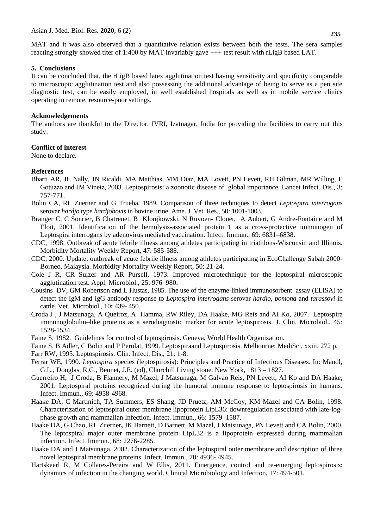MAT and it was also observed that a quantitative relation exists between both the tests. The sera samples reacting strongly showed titer of 1:400 by MAT invariably gave +++ test result with rLigB based LAT.

#### **5. Conclusions**

It can be concluded that, the rLigB based latex agglutination test having sensitivity and specificity comparable to microscopic agglutination test and also possessing the additional advantage of being to serve as a pen site diagnostic test, can be easily employed, in well established hospitals as well as in mobile service clinics operating in remote, resource-poor settings.

## **Acknowledgements**

The authors are thankful to the Director, IVRI, Izatnagar, India for providing the facilities to carry out this study.

### **Conflict of interest**

None to declare.

### **References**

- Bharti AR, JE Nally, JN Ricaldi, MA Matthias, MM Diaz, MA Lovett, PN Levett, RH Gilman, MR Willing, E Gotuzzo and JM Vinetz, 2003. Leptospirosis: a zoonotic disease of global importance. Lancet Infect. Dis., 3: 757-771.
- Bolin CA, RL Zuerner and G Trueba, 1989. Comparison of three techniques to detect *Leptospira interrogans* serovar *hardjo* type *hardjobovis* in bovine urine. Ame. J. Vet. Res., 50: 1001-1003.
- Branger C, C Sonrier, B Chatrenet, B Klonjkowski, N Ruvoen- Clouet, A Aubert, G Andre-Fontaine and M Eloit, 2001. Identification of the hemolysis-associated protein 1 as a cross-protective immunogen of Leptospira interrogans by adenovirus mediated vaccination. Infect. Immun., 69: 6831–6838.
- CDC, 1998. Outbreak of acute febrile illness among athletes participating in triathlons-Wisconsin and Illinois. Morbidity Mortality Weekly Report, 47: 585-588.
- CDC, 2000. Update: outbreak of acute febrile illness among athletes participating in EcoChallenge Sabah 2000- Borneo, Malaysia. Morbidity Mortality Weekly Report, 50: 21-24.
- Cole J R, CR Sulzer and AR Pursell, 1973. Improved microtechnique for the leptospiral microscopic agglutination test. Appl. Microbiol., 25: 976–980.
- Cousins DV, GM Robertson and L Hustas, 1985. The use of the enzyme-linked immunosorbent assay (ELISA) to detect the IgM and IgG antibody response to *Leptospira interrogans* serovar *hardjo, pomona* and *tarassovi* in cattle. Vet. Microbiol., 10**:** 439- 450.
- Croda J , J Matsunaga, A Queiroz, A Hamma, RW Riley, DA Haake, MG Reis and AI Ko, 2007. Leptospira immunoglobulin–like proteins as a serodiagnostic marker for acute leptospirosis. J. Clin. Microbiol., 45: 1528-1534.
- Faine S, 1982. Guidelines for control of leptospirosis. Geneva, World Health Organization.
- Faine S, B Adler, C Bolin and P Perolat, 1999. Leptospiraand Leptospirosis. Melbourne: MediSci, xxiii, 272 p.
- Farr RW, 1995. Leptospirosis. Clin. Infect. Dis., 21: 1-8.
- Ferrar WE, 1990. *Leptospira* species (leptospirosis): Principles and Practice of Infectious Diseases. In: Mandl, G.L., Douglas, R.G., Bennet, J.E. (ed), Churchill Living stone. New York, 1813 – 1827.
- Guerreiro H, J Croda, B Flannery, M Mazel, J Matsunaga, M Galvao Reis, PN Levett, AI Ko and DA Haake**,**  2001. Leptospiral proteins recognized during the humoral immune response to leptospirosis in humans. Infect. Immun., 69: 4958-4968.
- Haake DA, C Martinich, TA Summers, ES Shang, JD Pruetz, AM McCoy, KM Mazel and CA Bolin, 1998. Characterization of leptospiral outer membrane lipoprotein LipL36: downregulation associated with late-logphase growth and mammalian Infection. Infect. Immun., 66: 1579–1587*.*
- Haake DA, G Chao, RL Zuerner**,** JK Barnett, D Barnett, M Mazel, J Matsunaga, PN Levett and CA Bolin, 2000. The leptospiral major outer membrane protein LipL32 is a lipoprotein expressed during mammalian infection. Infect. Immun., 68: 2276-2285.
- Haake DA and J Matsunaga, 2002. Characterization of the leptospiral outer membrane and description of three novel leptospiral membrane proteins. Infect. Immun., 70: 4936- 4945.
- Hartskeerl R, M Collares-Pereira and W Ellis, 2011. Emergence, control and re-emerging leptospirosis: dynamics of infection in the changing world. Clinical Microbiology and Infection, 17: 494-501.